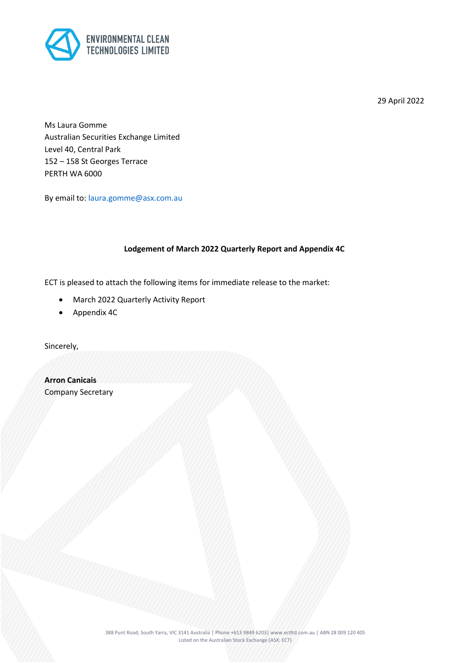

29 April 2022

Ms Laura Gomme Australian Securities Exchange Limited Level 40, Central Park 152 – 158 St Georges Terrace PERTH WA 6000

By email to: laura.gomme@asx.com.au

### **Lodgement of March 2022 Quarterly Report and Appendix 4C**

ECT is pleased to attach the following items for immediate release to the market:

- March 2022 Quarterly Activity Report
- Appendix 4C

Sincerely,

**Arron Canicais** Company Secretary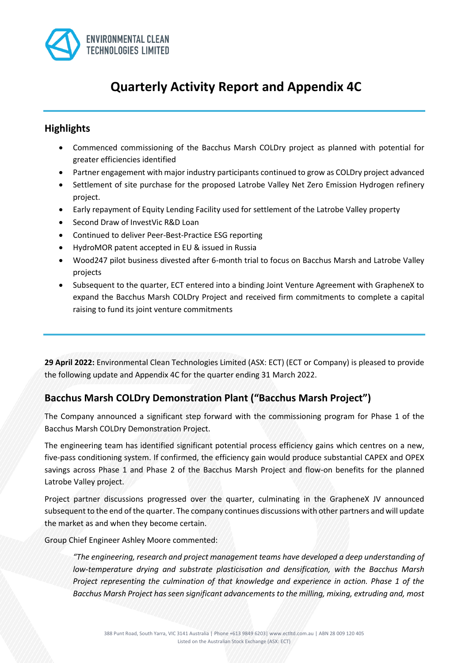

# **Quarterly Activity Report and Appendix 4C**

## **Highlights**

- Commenced commissioning of the Bacchus Marsh COLDry project as planned with potential for greater efficiencies identified
- Partner engagement with major industry participants continued to grow as COLDry project advanced
- Settlement of site purchase for the proposed Latrobe Valley Net Zero Emission Hydrogen refinery project.
- Early repayment of Equity Lending Facility used for settlement of the Latrobe Valley property
- Second Draw of InvestVic R&D Loan
- Continued to deliver Peer-Best-Practice ESG reporting
- HydroMOR patent accepted in EU & issued in Russia
- Wood247 pilot business divested after 6-month trial to focus on Bacchus Marsh and Latrobe Valley projects
- Subsequent to the quarter, ECT entered into a binding Joint Venture Agreement with GrapheneX to expand the Bacchus Marsh COLDry Project and received firm commitments to complete a capital raising to fund its joint venture commitments

**29 April 2022:** Environmental Clean Technologies Limited (ASX: ECT) (ECT or Company) is pleased to provide the following update and Appendix 4C for the quarter ending 31 March 2022.

## **Bacchus Marsh COLDry Demonstration Plant ("Bacchus Marsh Project")**

The Company announced a significant step forward with the commissioning program for Phase 1 of the Bacchus Marsh COLDry Demonstration Project.

The engineering team has identified significant potential process efficiency gains which centres on a new, five-pass conditioning system. If confirmed, the efficiency gain would produce substantial CAPEX and OPEX savings across Phase 1 and Phase 2 of the Bacchus Marsh Project and flow-on benefits for the planned Latrobe Valley project.

Project partner discussions progressed over the quarter, culminating in the GrapheneX JV announced subsequent to the end of the quarter. The company continues discussions with other partners and will update the market as and when they become certain.

Group Chief Engineer Ashley Moore commented:

*"The engineering, research and project management teams have developed a deep understanding of low-temperature drying and substrate plasticisation and densification, with the Bacchus Marsh Project representing the culmination of that knowledge and experience in action. Phase 1 of the Bacchus Marsh Project has seen significant advancements to the milling, mixing, extruding and, most*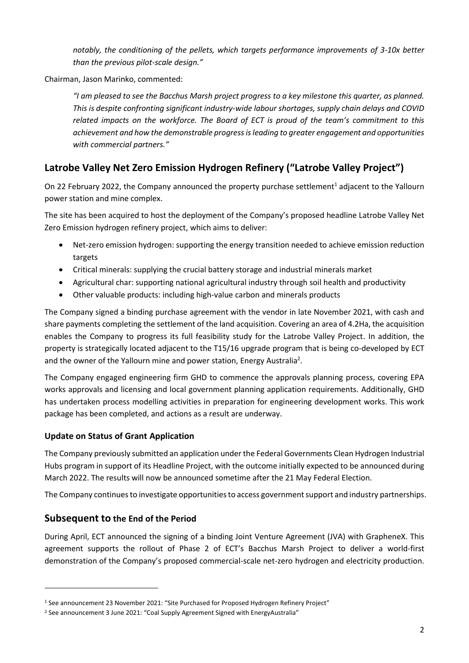*notably, the conditioning of the pellets, which targets performance improvements of 3-10x better than the previous pilot-scale design."*

Chairman, Jason Marinko, commented:

*"I am pleased to see the Bacchus Marsh project progress to a key milestone this quarter, as planned. This is despite confronting significant industry-wide labour shortages, supply chain delays and COVID related impacts on the workforce. The Board of ECT is proud of the team's commitment to this achievement and how the demonstrable progress is leading to greater engagement and opportunities with commercial partners."*

## **Latrobe Valley Net Zero Emission Hydrogen Refinery ("Latrobe Valley Project")**

On 22 February 2022, the Company announced the property purchase settlement<sup>1</sup> adjacent to the Yallourn power station and mine complex.

The site has been acquired to host the deployment of the Company's proposed headline Latrobe Valley Net Zero Emission hydrogen refinery project, which aims to deliver:

- Net-zero emission hydrogen: supporting the energy transition needed to achieve emission reduction targets
- Critical minerals: supplying the crucial battery storage and industrial minerals market
- Agricultural char: supporting national agricultural industry through soil health and productivity
- Other valuable products: including high-value carbon and minerals products

The Company signed a binding purchase agreement with the vendor in late November 2021, with cash and share payments completing the settlement of the land acquisition. Covering an area of 4.2Ha, the acquisition enables the Company to progress its full feasibility study for the Latrobe Valley Project. In addition, the property is strategically located adjacent to the T15/16 upgrade program that is being co-developed by ECT and the owner of the Yallourn mine and power station, Energy Australia<sup>2</sup>.

The Company engaged engineering firm GHD to commence the approvals planning process, covering EPA works approvals and licensing and local government planning application requirements. Additionally, GHD has undertaken process modelling activities in preparation for engineering development works. This work package has been completed, and actions as a result are underway.

## **Update on Status of Grant Application**

The Company previously submitted an application under the Federal Governments Clean Hydrogen Industrial Hubs program in support of its Headline Project, with the outcome initially expected to be announced during March 2022. The results will now be announced sometime after the 21 May Federal Election.

The Company continues to investigate opportunities to access government support and industry partnerships.

## **Subsequent to the End of the Period**

During April, ECT announced the signing of a binding Joint Venture Agreement (JVA) with GrapheneX. This agreement supports the rollout of Phase 2 of ECT's Bacchus Marsh Project to deliver a world-first demonstration of the Company's proposed commercial-scale net-zero hydrogen and electricity production.

<sup>1</sup> See announcement 23 November 2021: "Site Purchased for Proposed Hydrogen Refinery Project"

<sup>2</sup> See announcement 3 June 2021: "Coal Supply Agreement Signed with EnergyAustralia"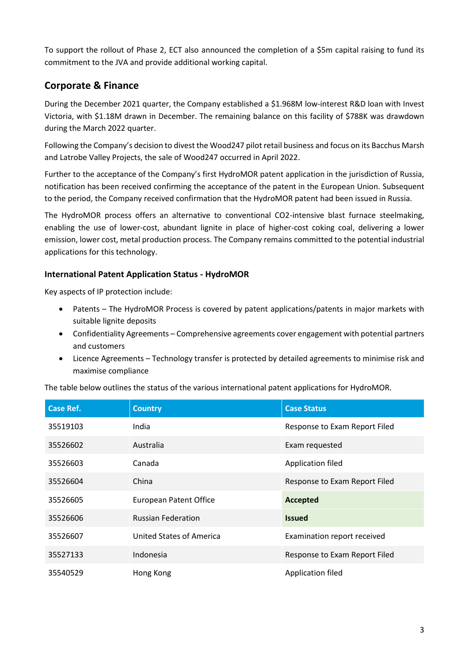To support the rollout of Phase 2, ECT also announced the completion of a \$5m capital raising to fund its commitment to the JVA and provide additional working capital.

## **Corporate & Finance**

During the December 2021 quarter, the Company established a \$1.968M low-interest R&D loan with Invest Victoria, with \$1.18M drawn in December. The remaining balance on this facility of \$788K was drawdown during the March 2022 quarter.

Following the Company's decision to divest the Wood247 pilot retail business and focus on its Bacchus Marsh and Latrobe Valley Projects, the sale of Wood247 occurred in April 2022.

Further to the acceptance of the Company's first HydroMOR patent application in the jurisdiction of Russia, notification has been received confirming the acceptance of the patent in the European Union. Subsequent to the period, the Company received confirmation that the HydroMOR patent had been issued in Russia.

The HydroMOR process offers an alternative to conventional CO2-intensive blast furnace steelmaking, enabling the use of lower-cost, abundant lignite in place of higher-cost coking coal, delivering a lower emission, lower cost, metal production process. The Company remains committed to the potential industrial applications for this technology.

## **International Patent Application Status - HydroMOR**

Key aspects of IP protection include:

- Patents The HydroMOR Process is covered by patent applications/patents in major markets with suitable lignite deposits
- Confidentiality Agreements Comprehensive agreements cover engagement with potential partners and customers
- Licence Agreements Technology transfer is protected by detailed agreements to minimise risk and maximise compliance

The table below outlines the status of the various international patent applications for HydroMOR.

| <b>Case Ref.</b> | <b>Country</b>                | <b>Case Status</b>            |
|------------------|-------------------------------|-------------------------------|
| 35519103         | India                         | Response to Exam Report Filed |
| 35526602         | Australia                     | Exam requested                |
| 35526603         | Canada                        | Application filed             |
| 35526604         | China                         | Response to Exam Report Filed |
| 35526605         | <b>European Patent Office</b> | <b>Accepted</b>               |
| 35526606         | <b>Russian Federation</b>     | <b>Issued</b>                 |
| 35526607         | United States of America      | Examination report received   |
| 35527133         | Indonesia                     | Response to Exam Report Filed |
| 35540529         | Hong Kong                     | Application filed             |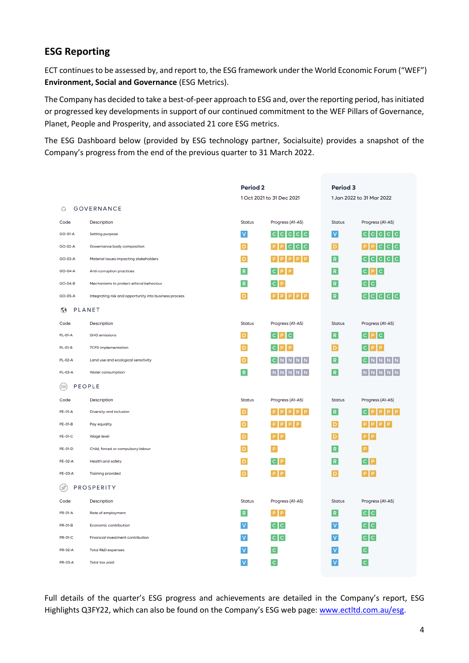## **ESG Reporting**

ECT continues to be assessed by, and report to, the ESG framework under the World Economic Forum ("WEF") **Environment, Social and Governance** (ESG Metrics).

The Company has decided to take a best-of-peer approach to ESG and, over the reporting period, has initiated or progressed key developments in support of our continued commitment to the WEF Pillars of Governance, Planet, People and Prosperity, and associated 21 core ESG metrics.

The ESG Dashboard below (provided by ESG technology partner, Socialsuite) provides a snapshot of the Company's progress from the end of the previous quarter to 31 March 2022.

|         |                                                        | Period <sub>2</sub> |                                             | Period 3     |                                            |
|---------|--------------------------------------------------------|---------------------|---------------------------------------------|--------------|--------------------------------------------|
|         |                                                        |                     | 1 Oct 2021 to 31 Dec 2021                   |              | 1 Jan 2022 to 31 Mar 2022                  |
| €       | GOVERNANCE                                             |                     |                                             |              |                                            |
| Code    | Description                                            | Status              | Progress (A1-A5)                            | Status       | Progress (A1-A5)                           |
| GO-01-A | Setting purpose                                        | V                   | $ {\tt c} {\tt c} {\tt c} {\tt c} {\tt c} $ | $\mathsf{V}$ | $ {\tt c} {\tt c} {\tt c} {\tt c} {\tt c}$ |
| GO-02-A | Governance body composition                            | D                   | P[P[C[C]]                                   | D            | P[P[C]C]                                   |
| GO-03-A | Material issues impacting stakeholders                 | D                   | $P$ $P$ $P$ $P$<br> P                       | R            | $ {\tt c} {\tt c} {\tt c} {\tt c} {\tt c}$ |
| GO-04-A | Anti-corruption practices                              | R.                  | $C$ $P$ $P$                                 | R.           | $c$   $P$   $c$                            |
| GO-04-B | Mechanisms to protect ethical behaviour                | R                   | C  P                                        | $\mathsf{R}$ | $ {\tt c} {\tt c} $                        |
| GO-05-A | Integrating risk and opportunity into business process | D                   | $P$ $P$ $P$ $P$ $P$ $P$                     | R            | c c c c c                                  |
| \$)     | <b>PLANET</b>                                          |                     |                                             |              |                                            |
| Code    | Description                                            | Status              | Progress (A1-A5)                            | Status       | Progress (A1-A5)                           |
| PL-01-A | GHG emissions                                          | ÞІ                  | c  P  c                                     | R            | c  P  c                                    |
| PL-01-B | <b>TCFD</b> implementation                             | D.                  | C  P  P                                     | D            | $C$ $P$ $P$                                |
| PL-02-A | Land use and ecological sensitivity                    | D                   | $C$ N N N N                                 | $\mathsf{R}$ | CINNNN                                     |
| PL-03-A | Water consumption                                      | R                   | NNNNN                                       | R            | NNNNN                                      |
| (୨୧)    | <b>PEOPLE</b>                                          |                     |                                             |              |                                            |
| Code    | Description                                            | Status              | Progress (A1-A5)                            | Status       | Progress (A1-A5)                           |
| PE-01-A | Diversity and inclusion                                | D                   | $P$ $P$ $P$ $P$<br>P.                       | R            | PIPIPIP<br>IC I                            |
| PE-01-B | Pay equality                                           | D                   | PIPIPIP                                     | D            | $P$ $P$ $P$ $P$                            |
| PE-01-C | Wage level                                             | D.                  | PIP                                         | D            | <b>PP</b>                                  |
| PE-01-D | Child, forced or compulsory labour                     | D                   | P                                           | R.           | P.                                         |
| PE-02-A | Health and safety                                      | D                   | C  P                                        | R            | C P                                        |
| PE-03-A | Training provided                                      | D.                  | PIP                                         | D            | PIP                                        |
| M.      | PROSPERITY                                             |                     |                                             |              |                                            |
| Code    | Description                                            | Status              | Progress (A1-A5)                            | Status       | Progress (A1-A5)                           |
| PR-01-A | Rate of employment                                     | R                   | PIP                                         | R            | c c                                        |
| PR-01-B | Economic contribution                                  | IV.                 | Ic Ici                                      | v            | lc Ici                                     |
| PR-01-C | Financial investment contribution                      | $\vee$              | Ic Icl                                      | v            | c c                                        |
| PR-02-A | Total R&D expenses                                     | v                   | $\mathsf C$                                 | v            | $\mathsf C$                                |
| PR-03-A | Total tax paid                                         | V                   | $\overline{c}$                              | V            | c                                          |
|         |                                                        |                     |                                             |              |                                            |

Full details of the quarter's ESG progress and achievements are detailed in the Company's report, ESG Highlights Q3FY22, which can also be found on the Company's ESG web page[: www.ectltd.com.au/esg.](http://www.ectltd.com.au/esg)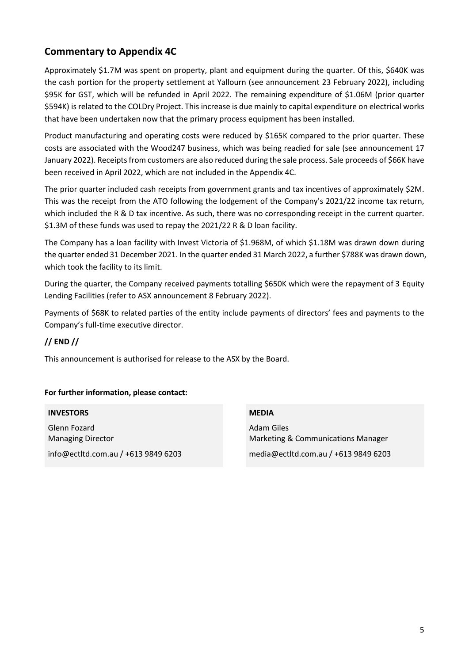## **Commentary to Appendix 4C**

Approximately \$1.7M was spent on property, plant and equipment during the quarter. Of this, \$640K was the cash portion for the property settlement at Yallourn (see announcement 23 February 2022), including \$95K for GST, which will be refunded in April 2022. The remaining expenditure of \$1.06M (prior quarter \$594K) is related to the COLDry Project. This increase is due mainly to capital expenditure on electrical works that have been undertaken now that the primary process equipment has been installed.

Product manufacturing and operating costs were reduced by \$165K compared to the prior quarter. These costs are associated with the Wood247 business, which was being readied for sale (see announcement 17 January 2022). Receipts from customers are also reduced during the sale process. Sale proceeds of \$66K have been received in April 2022, which are not included in the Appendix 4C.

The prior quarter included cash receipts from government grants and tax incentives of approximately \$2M. This was the receipt from the ATO following the lodgement of the Company's 2021/22 income tax return, which included the R & D tax incentive. As such, there was no corresponding receipt in the current quarter. \$1.3M of these funds was used to repay the 2021/22 R & D loan facility.

The Company has a loan facility with Invest Victoria of \$1.968M, of which \$1.18M was drawn down during the quarter ended 31 December 2021. In the quarter ended 31 March 2022, a further \$788K was drawn down, which took the facility to its limit.

During the quarter, the Company received payments totalling \$650K which were the repayment of 3 Equity Lending Facilities (refer to ASX announcement 8 February 2022).

Payments of \$68K to related parties of the entity include payments of directors' fees and payments to the Company's full-time executive director.

### **// END //**

This announcement is authorised for release to the ASX by the Board.

### **For further information, please contact:**

### **INVESTORS**

Glenn Fozard Managing Director info@ectltd.com.au / +613 9849 6203

#### **MEDIA**

Adam Giles Marketing & Communications Manager media@ectltd.com.au / +613 9849 6203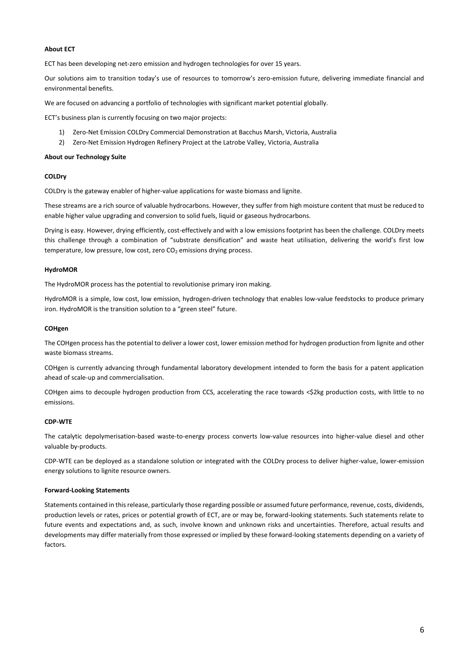#### **About ECT**

ECT has been developing net-zero emission and hydrogen technologies for over 15 years.

Our solutions aim to transition today's use of resources to tomorrow's zero-emission future, delivering immediate financial and environmental benefits.

We are focused on advancing a portfolio of technologies with significant market potential globally.

ECT's business plan is currently focusing on two major projects:

- 1) Zero-Net Emission COLDry Commercial Demonstration at Bacchus Marsh, Victoria, Australia
- 2) Zero-Net Emission Hydrogen Refinery Project at the Latrobe Valley, Victoria, Australia

#### **About our Technology Suite**

#### **COLDry**

COLDry is the gateway enabler of higher-value applications for waste biomass and lignite.

These streams are a rich source of valuable hydrocarbons. However, they suffer from high moisture content that must be reduced to enable higher value upgrading and conversion to solid fuels, liquid or gaseous hydrocarbons.

Drying is easy. However, drying efficiently, cost-effectively and with a low emissions footprint has been the challenge. COLDry meets this challenge through a combination of "substrate densification" and waste heat utilisation, delivering the world's first low temperature, low pressure, low cost, zero  $CO<sub>2</sub>$  emissions drying process.

#### **HydroMOR**

The HydroMOR process has the potential to revolutionise primary iron making.

HydroMOR is a simple, low cost, low emission, hydrogen-driven technology that enables low-value feedstocks to produce primary iron. HydroMOR is the transition solution to a "green steel" future.

#### **COHgen**

The COHgen process has the potential to deliver a lower cost, lower emission method for hydrogen production from lignite and other waste biomass streams.

COHgen is currently advancing through fundamental laboratory development intended to form the basis for a patent application ahead of scale-up and commercialisation.

COHgen aims to decouple hydrogen production from CCS, accelerating the race towards <\$2kg production costs, with little to no emissions.

#### **CDP-WTE**

The catalytic depolymerisation-based waste-to-energy process converts low-value resources into higher-value diesel and other valuable by-products.

CDP-WTE can be deployed as a standalone solution or integrated with the COLDry process to deliver higher-value, lower-emission energy solutions to lignite resource owners.

#### **Forward-Looking Statements**

Statements contained in this release, particularly those regarding possible or assumed future performance, revenue, costs, dividends, production levels or rates, prices or potential growth of ECT, are or may be, forward-looking statements. Such statements relate to future events and expectations and, as such, involve known and unknown risks and uncertainties. Therefore, actual results and developments may differ materially from those expressed or implied by these forward-looking statements depending on a variety of factors.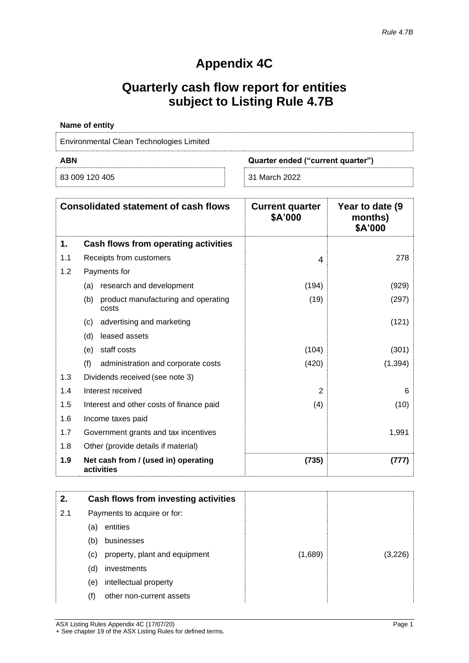# **Appendix 4C**

# **Quarterly cash flow report for entities subject to Listing Rule 4.7B**

| Name of entity                                  |               |  |  |  |
|-------------------------------------------------|---------------|--|--|--|
| Environmental Clean Technologies Limited        |               |  |  |  |
| <b>ABN</b><br>Quarter ended ("current quarter") |               |  |  |  |
| 83 009 120 405                                  | 31 March 2022 |  |  |  |

|     | <b>Consolidated statement of cash flows</b>         | <b>Current quarter</b><br>\$A'000 | Year to date (9)<br>months)<br>\$A'000 |
|-----|-----------------------------------------------------|-----------------------------------|----------------------------------------|
| 1.  | Cash flows from operating activities                |                                   |                                        |
| 1.1 | Receipts from customers                             | 4                                 | 278                                    |
| 1.2 | Payments for                                        |                                   |                                        |
|     | research and development<br>(a)                     | (194)                             | (929)                                  |
|     | product manufacturing and operating<br>(b)<br>costs | (19)                              | (297)                                  |
|     | advertising and marketing<br>(c)                    |                                   | (121)                                  |
|     | leased assets<br>(d)                                |                                   |                                        |
|     | staff costs<br>(e)                                  | (104)                             | (301)                                  |
|     | (f)<br>administration and corporate costs           | (420)                             | (1, 394)                               |
| 1.3 | Dividends received (see note 3)                     |                                   |                                        |
| 1.4 | Interest received                                   | $\overline{2}$                    | 6                                      |
| 1.5 | Interest and other costs of finance paid            | (4)                               | (10)                                   |
| 1.6 | Income taxes paid                                   |                                   |                                        |
| 1.7 | Government grants and tax incentives                |                                   | 1,991                                  |
| 1.8 | Other (provide details if material)                 |                                   |                                        |
| 1.9 | Net cash from / (used in) operating<br>activities   | (735)                             | (777                                   |

| 2.  |     | Cash flows from investing activities |         |        |
|-----|-----|--------------------------------------|---------|--------|
| 2.1 |     | Payments to acquire or for:          |         |        |
|     | (a) | entities                             |         |        |
|     | (b) | businesses                           |         |        |
|     | (c) | property, plant and equipment        | (1,689) | (3,226 |
|     | (d) | investments                          |         |        |
|     | (e) | intellectual property                |         |        |
|     | (f) | other non-current assets             |         |        |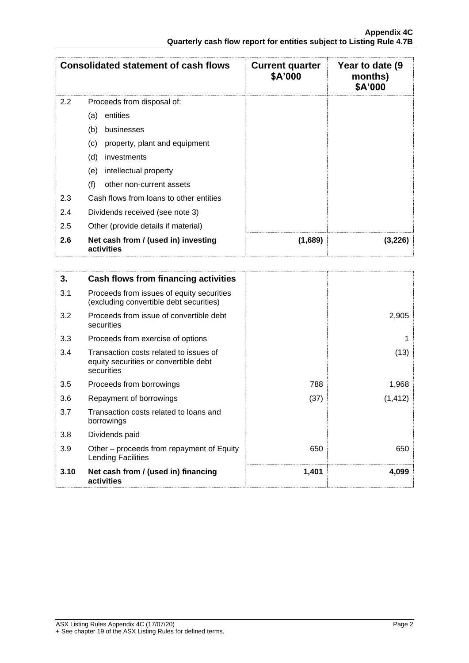|                  | <b>Consolidated statement of cash flows</b>       | <b>Current quarter</b><br>\$A'000 | Year to date (9)<br>months)<br>\$A'000 |
|------------------|---------------------------------------------------|-----------------------------------|----------------------------------------|
| $2.2\phantom{0}$ | Proceeds from disposal of:                        |                                   |                                        |
|                  | entities<br>(a)                                   |                                   |                                        |
|                  | (b)<br>businesses                                 |                                   |                                        |
|                  | property, plant and equipment<br>(c)              |                                   |                                        |
|                  | (d)<br>investments                                |                                   |                                        |
|                  | intellectual property<br>(e)                      |                                   |                                        |
|                  | (f)<br>other non-current assets                   |                                   |                                        |
| 2.3              | Cash flows from loans to other entities           |                                   |                                        |
| 2.4              | Dividends received (see note 3)                   |                                   |                                        |
| 2.5              | Other (provide details if material)               |                                   |                                        |
| 2.6              | Net cash from / (used in) investing<br>activities | (1,689)                           | (3,226)                                |

| 3.   | Cash flows from financing activities                                                          |       |          |
|------|-----------------------------------------------------------------------------------------------|-------|----------|
| 3.1  | Proceeds from issues of equity securities<br>(excluding convertible debt securities)          |       |          |
| 3.2  | Proceeds from issue of convertible debt<br>securities                                         |       | 2,905    |
| 3.3  | Proceeds from exercise of options                                                             |       |          |
| 3.4  | Transaction costs related to issues of<br>equity securities or convertible debt<br>securities |       | (13)     |
| 3.5  | Proceeds from borrowings                                                                      | 788   | 1,968    |
| 3.6  | Repayment of borrowings                                                                       | (37)  | (1, 412) |
| 3.7  | Transaction costs related to loans and<br>borrowings                                          |       |          |
| 3.8  | Dividends paid                                                                                |       |          |
| 3.9  | Other – proceeds from repayment of Equity<br>Lending Facilities                               | 650   | 650      |
| 3.10 | Net cash from / (used in) financing<br>activities                                             | 1,401 | 4,099    |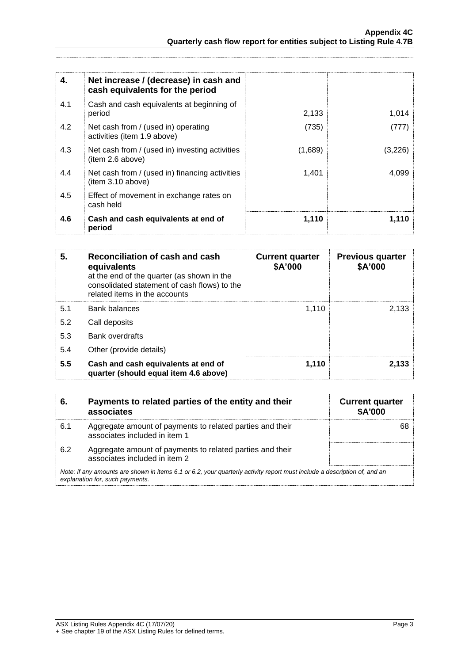| 4.  | Net increase / (decrease) in cash and<br>cash equivalents for the period |         |         |
|-----|--------------------------------------------------------------------------|---------|---------|
| 4.1 | Cash and cash equivalents at beginning of<br>period                      | 2,133   | 1,014   |
| 4.2 | Net cash from / (used in) operating<br>activities (item 1.9 above)       | (735)   |         |
| 4.3 | Net cash from / (used in) investing activities<br>(item 2.6 above)       | (1,689) | (3,226) |
| 4.4 | Net cash from / (used in) financing activities<br>(item 3.10 above)      | 1,401   | 4,099   |
| 4.5 | Effect of movement in exchange rates on<br>cash held                     |         |         |
| 4.6 | Cash and cash equivalents at end of<br>period                            | 1,110   | 1,110   |

| 5.  | Reconciliation of cash and cash<br>equivalents<br>at the end of the quarter (as shown in the<br>consolidated statement of cash flows) to the<br>related items in the accounts | <b>Current quarter</b><br>\$A'000 | <b>Previous quarter</b><br>\$A'000 |
|-----|-------------------------------------------------------------------------------------------------------------------------------------------------------------------------------|-----------------------------------|------------------------------------|
| 5.1 | <b>Bank balances</b>                                                                                                                                                          | 1.110                             | 2.133                              |
| 5.2 | Call deposits                                                                                                                                                                 |                                   |                                    |
| 5.3 | <b>Bank overdrafts</b>                                                                                                                                                        |                                   |                                    |
| 5.4 | Other (provide details)                                                                                                                                                       |                                   |                                    |
| 5.5 | Cash and cash equivalents at end of<br>quarter (should equal item 4.6 above)                                                                                                  | 1.110                             | 2.133                              |

| 6.  | Payments to related parties of the entity and their<br>associates                                                                                           | <b>Current quarter</b><br><b>\$A'000</b> |  |
|-----|-------------------------------------------------------------------------------------------------------------------------------------------------------------|------------------------------------------|--|
| 6.1 | Aggregate amount of payments to related parties and their<br>associates included in item 1                                                                  |                                          |  |
| 6.2 | Aggregate amount of payments to related parties and their<br>associates included in item 2                                                                  |                                          |  |
|     | Note: if any amounts are shown in items 6.1 or 6.2, your quarterly activity report must include a description of, and an<br>explanation for, such payments. |                                          |  |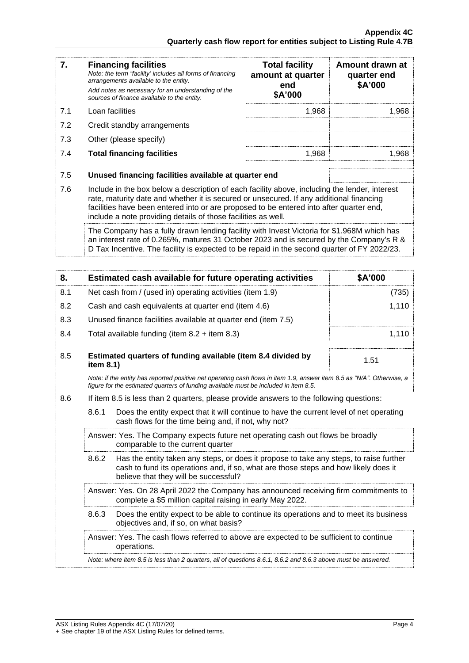| $\overline{7}$ . | <b>Financing facilities</b><br>Note: the term "facility' includes all forms of financing<br>arrangements available to the entity.                                                                                                                                                                                                                    | <b>Total facility</b><br>amount at quarter<br>end | Amount drawn at<br>quarter end<br>\$A'000 |
|------------------|------------------------------------------------------------------------------------------------------------------------------------------------------------------------------------------------------------------------------------------------------------------------------------------------------------------------------------------------------|---------------------------------------------------|-------------------------------------------|
|                  | Add notes as necessary for an understanding of the<br>sources of finance available to the entity.                                                                                                                                                                                                                                                    | \$A'000                                           |                                           |
| 7.1              | Loan facilities                                                                                                                                                                                                                                                                                                                                      | 1,968                                             | 1,968                                     |
| 7.2              | Credit standby arrangements                                                                                                                                                                                                                                                                                                                          |                                                   |                                           |
| 7.3              | Other (please specify)                                                                                                                                                                                                                                                                                                                               |                                                   |                                           |
| 7.4              | <b>Total financing facilities</b>                                                                                                                                                                                                                                                                                                                    | 1,968                                             | 1,968                                     |
| 7.5              | Unused financing facilities available at quarter end                                                                                                                                                                                                                                                                                                 |                                                   |                                           |
| 7.6              | Include in the box below a description of each facility above, including the lender, interest<br>rate, maturity date and whether it is secured or unsecured. If any additional financing<br>facilities have been entered into or are proposed to be entered into after quarter end,<br>include a note providing details of those facilities as well. |                                                   |                                           |
|                  | The Company has a fully drawn lending facility with Invest Victoria for \$1.968M which has                                                                                                                                                                                                                                                           |                                                   |                                           |

an interest rate of 0.265%, matures 31 October 2023 and is secured by the Company's R & D Tax Incentive. The facility is expected to be repaid in the second quarter of FY 2022/23.

| 8.  | Estimated cash available for future operating activities                                                                                                                                                                        | \$A'000 |  |
|-----|---------------------------------------------------------------------------------------------------------------------------------------------------------------------------------------------------------------------------------|---------|--|
| 8.1 | Net cash from / (used in) operating activities (item 1.9)                                                                                                                                                                       | (735)   |  |
| 8.2 | Cash and cash equivalents at quarter end (item 4.6)                                                                                                                                                                             | 1,110   |  |
| 8.3 | Unused finance facilities available at quarter end (item 7.5)                                                                                                                                                                   |         |  |
| 8.4 | Total available funding (item $8.2 +$ item $8.3$ )                                                                                                                                                                              | 1,110   |  |
| 8.5 | Estimated quarters of funding available (item 8.4 divided by<br>item 8.1)                                                                                                                                                       | 1.51    |  |
|     | Note: if the entity has reported positive net operating cash flows in item 1.9, answer item 8.5 as "N/A". Otherwise, a<br>figure for the estimated quarters of funding available must be included in item 8.5.                  |         |  |
| 8.6 | If item 8.5 is less than 2 quarters, please provide answers to the following questions:                                                                                                                                         |         |  |
|     | 8.6.1<br>Does the entity expect that it will continue to have the current level of net operating<br>cash flows for the time being and, if not, why not?                                                                         |         |  |
|     | Answer: Yes. The Company expects future net operating cash out flows be broadly<br>comparable to the current quarter                                                                                                            |         |  |
|     | 8.6.2<br>Has the entity taken any steps, or does it propose to take any steps, to raise further<br>cash to fund its operations and, if so, what are those steps and how likely does it<br>believe that they will be successful? |         |  |
|     | Answer: Yes. On 28 April 2022 the Company has announced receiving firm commitments to<br>complete a \$5 million capital raising in early May 2022.                                                                              |         |  |
|     | Does the entity expect to be able to continue its operations and to meet its business<br>8.6.3<br>objectives and, if so, on what basis?                                                                                         |         |  |
|     | Answer: Yes. The cash flows referred to above are expected to be sufficient to continue<br>operations.                                                                                                                          |         |  |
|     | Note: where item 8.5 is less than 2 quarters, all of questions 8.6.1, 8.6.2 and 8.6.3 above must be answered.                                                                                                                   |         |  |